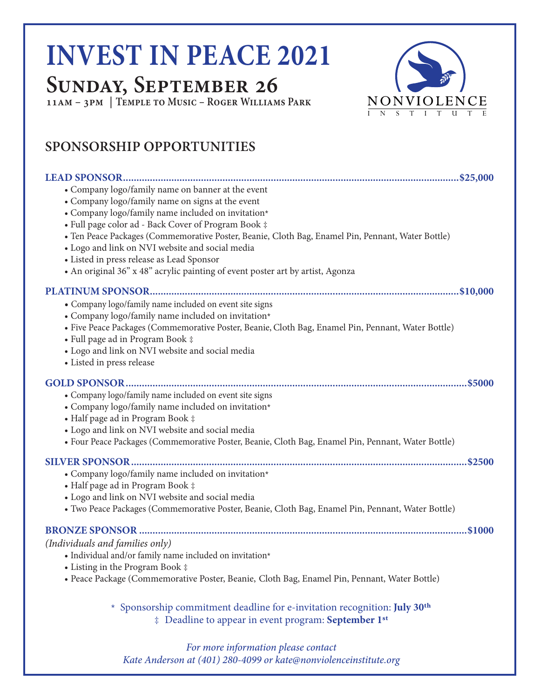# **INVEST IN PEACE 2021**

### **Sunday, September 26**

**11am – 3pm | Temple to Music – Roger Williams Park**



#### **SPONSORSHIP OPPORTUNITIES**

| • Company logo/family name on banner at the event<br>• Company logo/family name on signs at the event<br>• Company logo/family name included on invitation*<br>• Full page color ad - Back Cover of Program Book ‡<br>· Ten Peace Packages (Commemorative Poster, Beanie, Cloth Bag, Enamel Pin, Pennant, Water Bottle)<br>• Logo and link on NVI website and social media<br>· Listed in press release as Lead Sponsor<br>• An original 36" x 48" acrylic painting of event poster art by artist, Agonza |
|-----------------------------------------------------------------------------------------------------------------------------------------------------------------------------------------------------------------------------------------------------------------------------------------------------------------------------------------------------------------------------------------------------------------------------------------------------------------------------------------------------------|
|                                                                                                                                                                                                                                                                                                                                                                                                                                                                                                           |
| • Company logo/family name included on event site signs<br>• Company logo/family name included on invitation*<br>· Five Peace Packages (Commemorative Poster, Beanie, Cloth Bag, Enamel Pin, Pennant, Water Bottle)<br>• Full page ad in Program Book ‡<br>• Logo and link on NVI website and social media<br>• Listed in press release                                                                                                                                                                   |
| • Company logo/family name included on event site signs<br>• Company logo/family name included on invitation*<br>• Half page ad in Program Book ‡<br>• Logo and link on NVI website and social media<br>· Four Peace Packages (Commemorative Poster, Beanie, Cloth Bag, Enamel Pin, Pennant, Water Bottle)                                                                                                                                                                                                |
| • Company logo/family name included on invitation*<br>• Half page ad in Program Book ‡<br>• Logo and link on NVI website and social media<br>• Two Peace Packages (Commemorative Poster, Beanie, Cloth Bag, Enamel Pin, Pennant, Water Bottle)                                                                                                                                                                                                                                                            |
| (Individuals and families only)<br>$\bullet$ Individual and/or family name included on invitation*<br>• Listing in the Program Book ‡<br>· Peace Package (Commemorative Poster, Beanie, Cloth Bag, Enamel Pin, Pennant, Water Bottle)                                                                                                                                                                                                                                                                     |
| * Sponsorship commitment deadline for e-invitation recognition: July 30 <sup>th</sup><br>‡ Deadline to appear in event program: September 1 <sup>st</sup>                                                                                                                                                                                                                                                                                                                                                 |

*For more information please contact Kate Anderson at (401) 280-4099 or kate@nonviolenceinstitute.org*